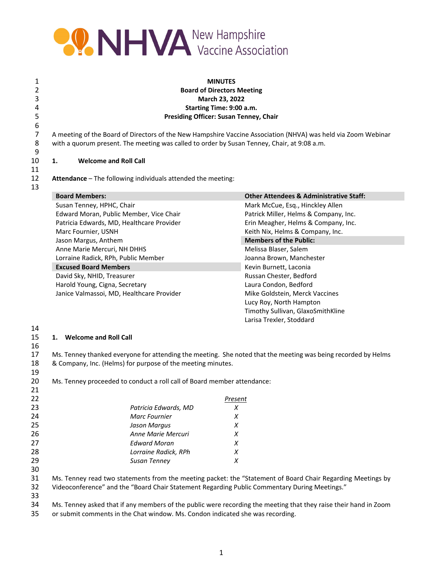

| 1<br>2<br>3<br>4 |                                                                                                                                                                                                              | <b>MINUTES</b><br><b>Board of Directors Meeting</b><br>March 23, 2022<br>Starting Time: 9:00 a.m. |  |  |
|------------------|--------------------------------------------------------------------------------------------------------------------------------------------------------------------------------------------------------------|---------------------------------------------------------------------------------------------------|--|--|
| 5                | <b>Presiding Officer: Susan Tenney, Chair</b>                                                                                                                                                                |                                                                                                   |  |  |
| 6<br>7<br>8<br>9 | A meeting of the Board of Directors of the New Hampshire Vaccine Association (NHVA) was held via Zoom Webinar<br>with a quorum present. The meeting was called to order by Susan Tenney, Chair, at 9:08 a.m. |                                                                                                   |  |  |
| 10               | <b>Welcome and Roll Call</b><br>1.                                                                                                                                                                           |                                                                                                   |  |  |
| 11               |                                                                                                                                                                                                              |                                                                                                   |  |  |
| 12               | Attendance - The following individuals attended the meeting:                                                                                                                                                 |                                                                                                   |  |  |
| 13               |                                                                                                                                                                                                              |                                                                                                   |  |  |
|                  | <b>Board Members:</b>                                                                                                                                                                                        | <b>Other Attendees &amp; Administrative Staff:</b>                                                |  |  |
|                  | Susan Tenney, HPHC, Chair                                                                                                                                                                                    | Mark McCue, Esq., Hinckley Allen                                                                  |  |  |
|                  | Edward Moran, Public Member, Vice Chair                                                                                                                                                                      | Patrick Miller, Helms & Company, Inc.                                                             |  |  |
|                  | Patricia Edwards, MD, Healthcare Provider                                                                                                                                                                    | Erin Meagher, Helms & Company, Inc.                                                               |  |  |
|                  | Marc Fournier, USNH                                                                                                                                                                                          | Keith Nix, Helms & Company, Inc.                                                                  |  |  |
|                  | Jason Margus, Anthem                                                                                                                                                                                         | <b>Members of the Public:</b>                                                                     |  |  |
|                  | Anne Marie Mercuri, NH DHHS                                                                                                                                                                                  | Melissa Blaser, Salem                                                                             |  |  |
|                  | Lorraine Radick, RPh, Public Member                                                                                                                                                                          | Joanna Brown, Manchester                                                                          |  |  |
|                  | <b>Excused Board Members</b>                                                                                                                                                                                 | Kevin Burnett, Laconia                                                                            |  |  |
|                  | David Sky, NHID, Treasurer                                                                                                                                                                                   | Russan Chester, Bedford                                                                           |  |  |
|                  | Harold Young, Cigna, Secretary                                                                                                                                                                               | Laura Condon, Bedford                                                                             |  |  |
|                  | Janice Valmassoi, MD, Healthcare Provider                                                                                                                                                                    | Mike Goldstein, Merck Vaccines                                                                    |  |  |
|                  |                                                                                                                                                                                                              | Lucy Roy, North Hampton                                                                           |  |  |
|                  |                                                                                                                                                                                                              | Timothy Sullivan, GlaxoSmithKline                                                                 |  |  |

#### 

## **1. Welcome and Roll Call**

16<br>17 Ms. Tenney thanked everyone for attending the meeting. She noted that the meeting was being recorded by Helms & Company, Inc. (Helms) for purpose of the meeting minutes.

Larisa Trexler, Stoddard

Ms. Tenney proceeded to conduct a roll call of Board member attendance:

| 22 |                      | Present |
|----|----------------------|---------|
| 23 | Patricia Edwards, MD | X       |
| 24 | <b>Marc Fournier</b> | X       |
| 25 | Jason Margus         | х       |
| 26 | Anne Marie Mercuri   | х       |
| 27 | Edward Moran         | X       |
| 28 | Lorraine Radick, RPh | Х       |
| 29 | Susan Tenney         | x       |
| 30 |                      |         |

 Ms. Tenney read two statements from the meeting packet: the "Statement of Board Chair Regarding Meetings by Videoconference" and the "Board Chair Statement Regarding Public Commentary During Meetings."

Ms. Tenney asked that if any members of the public were recording the meeting that they raise their hand in Zoom

or submit comments in the Chat window. Ms. Condon indicated she was recording.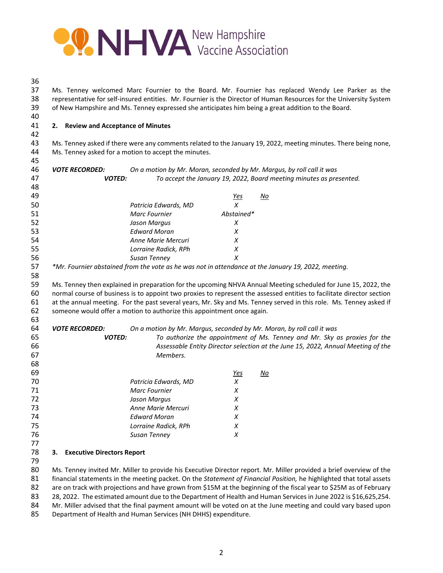

| of New Hampshire and Ms. Tenney expressed she anticipates him being a great addition to the Board. |                       |                                                                                                                                                                                 |                                                                                                                                                                                                                                                                                                                                                                                                                                                                                                                                                                                                                                                                                                                                                                                                                                                                                                                                                                                                                                                                                                                                                                                                                                          |  |  |
|----------------------------------------------------------------------------------------------------|-----------------------|---------------------------------------------------------------------------------------------------------------------------------------------------------------------------------|------------------------------------------------------------------------------------------------------------------------------------------------------------------------------------------------------------------------------------------------------------------------------------------------------------------------------------------------------------------------------------------------------------------------------------------------------------------------------------------------------------------------------------------------------------------------------------------------------------------------------------------------------------------------------------------------------------------------------------------------------------------------------------------------------------------------------------------------------------------------------------------------------------------------------------------------------------------------------------------------------------------------------------------------------------------------------------------------------------------------------------------------------------------------------------------------------------------------------------------|--|--|
| 2. Review and Acceptance of Minutes                                                                |                       |                                                                                                                                                                                 |                                                                                                                                                                                                                                                                                                                                                                                                                                                                                                                                                                                                                                                                                                                                                                                                                                                                                                                                                                                                                                                                                                                                                                                                                                          |  |  |
|                                                                                                    |                       |                                                                                                                                                                                 |                                                                                                                                                                                                                                                                                                                                                                                                                                                                                                                                                                                                                                                                                                                                                                                                                                                                                                                                                                                                                                                                                                                                                                                                                                          |  |  |
|                                                                                                    |                       |                                                                                                                                                                                 |                                                                                                                                                                                                                                                                                                                                                                                                                                                                                                                                                                                                                                                                                                                                                                                                                                                                                                                                                                                                                                                                                                                                                                                                                                          |  |  |
|                                                                                                    |                       |                                                                                                                                                                                 |                                                                                                                                                                                                                                                                                                                                                                                                                                                                                                                                                                                                                                                                                                                                                                                                                                                                                                                                                                                                                                                                                                                                                                                                                                          |  |  |
|                                                                                                    |                       |                                                                                                                                                                                 |                                                                                                                                                                                                                                                                                                                                                                                                                                                                                                                                                                                                                                                                                                                                                                                                                                                                                                                                                                                                                                                                                                                                                                                                                                          |  |  |
|                                                                                                    |                       |                                                                                                                                                                                 |                                                                                                                                                                                                                                                                                                                                                                                                                                                                                                                                                                                                                                                                                                                                                                                                                                                                                                                                                                                                                                                                                                                                                                                                                                          |  |  |
|                                                                                                    |                       |                                                                                                                                                                                 |                                                                                                                                                                                                                                                                                                                                                                                                                                                                                                                                                                                                                                                                                                                                                                                                                                                                                                                                                                                                                                                                                                                                                                                                                                          |  |  |
|                                                                                                    |                       |                                                                                                                                                                                 | No                                                                                                                                                                                                                                                                                                                                                                                                                                                                                                                                                                                                                                                                                                                                                                                                                                                                                                                                                                                                                                                                                                                                                                                                                                       |  |  |
|                                                                                                    | Patricia Edwards, MD  | $\chi$                                                                                                                                                                          |                                                                                                                                                                                                                                                                                                                                                                                                                                                                                                                                                                                                                                                                                                                                                                                                                                                                                                                                                                                                                                                                                                                                                                                                                                          |  |  |
|                                                                                                    | Marc Fournier         | Abstained*                                                                                                                                                                      |                                                                                                                                                                                                                                                                                                                                                                                                                                                                                                                                                                                                                                                                                                                                                                                                                                                                                                                                                                                                                                                                                                                                                                                                                                          |  |  |
|                                                                                                    | Jason Margus          | X                                                                                                                                                                               |                                                                                                                                                                                                                                                                                                                                                                                                                                                                                                                                                                                                                                                                                                                                                                                                                                                                                                                                                                                                                                                                                                                                                                                                                                          |  |  |
|                                                                                                    | <b>Edward Moran</b>   | X                                                                                                                                                                               |                                                                                                                                                                                                                                                                                                                                                                                                                                                                                                                                                                                                                                                                                                                                                                                                                                                                                                                                                                                                                                                                                                                                                                                                                                          |  |  |
|                                                                                                    | Anne Marie Mercuri    | X                                                                                                                                                                               |                                                                                                                                                                                                                                                                                                                                                                                                                                                                                                                                                                                                                                                                                                                                                                                                                                                                                                                                                                                                                                                                                                                                                                                                                                          |  |  |
|                                                                                                    | Lorraine Radick, RPh  | X                                                                                                                                                                               |                                                                                                                                                                                                                                                                                                                                                                                                                                                                                                                                                                                                                                                                                                                                                                                                                                                                                                                                                                                                                                                                                                                                                                                                                                          |  |  |
|                                                                                                    | Susan Tenney          | X                                                                                                                                                                               |                                                                                                                                                                                                                                                                                                                                                                                                                                                                                                                                                                                                                                                                                                                                                                                                                                                                                                                                                                                                                                                                                                                                                                                                                                          |  |  |
|                                                                                                    |                       |                                                                                                                                                                                 |                                                                                                                                                                                                                                                                                                                                                                                                                                                                                                                                                                                                                                                                                                                                                                                                                                                                                                                                                                                                                                                                                                                                                                                                                                          |  |  |
|                                                                                                    |                       |                                                                                                                                                                                 |                                                                                                                                                                                                                                                                                                                                                                                                                                                                                                                                                                                                                                                                                                                                                                                                                                                                                                                                                                                                                                                                                                                                                                                                                                          |  |  |
|                                                                                                    |                       |                                                                                                                                                                                 |                                                                                                                                                                                                                                                                                                                                                                                                                                                                                                                                                                                                                                                                                                                                                                                                                                                                                                                                                                                                                                                                                                                                                                                                                                          |  |  |
|                                                                                                    |                       |                                                                                                                                                                                 |                                                                                                                                                                                                                                                                                                                                                                                                                                                                                                                                                                                                                                                                                                                                                                                                                                                                                                                                                                                                                                                                                                                                                                                                                                          |  |  |
|                                                                                                    |                       |                                                                                                                                                                                 |                                                                                                                                                                                                                                                                                                                                                                                                                                                                                                                                                                                                                                                                                                                                                                                                                                                                                                                                                                                                                                                                                                                                                                                                                                          |  |  |
|                                                                                                    |                       |                                                                                                                                                                                 |                                                                                                                                                                                                                                                                                                                                                                                                                                                                                                                                                                                                                                                                                                                                                                                                                                                                                                                                                                                                                                                                                                                                                                                                                                          |  |  |
|                                                                                                    |                       |                                                                                                                                                                                 |                                                                                                                                                                                                                                                                                                                                                                                                                                                                                                                                                                                                                                                                                                                                                                                                                                                                                                                                                                                                                                                                                                                                                                                                                                          |  |  |
| <b>VOTE RECORDED:</b>                                                                              |                       |                                                                                                                                                                                 |                                                                                                                                                                                                                                                                                                                                                                                                                                                                                                                                                                                                                                                                                                                                                                                                                                                                                                                                                                                                                                                                                                                                                                                                                                          |  |  |
|                                                                                                    |                       |                                                                                                                                                                                 | To authorize the appointment of Ms. Tenney and Mr. Sky as proxies for the                                                                                                                                                                                                                                                                                                                                                                                                                                                                                                                                                                                                                                                                                                                                                                                                                                                                                                                                                                                                                                                                                                                                                                |  |  |
|                                                                                                    |                       |                                                                                                                                                                                 | Assessable Entity Director selection at the June 15, 2022, Annual Meeting of the                                                                                                                                                                                                                                                                                                                                                                                                                                                                                                                                                                                                                                                                                                                                                                                                                                                                                                                                                                                                                                                                                                                                                         |  |  |
|                                                                                                    |                       |                                                                                                                                                                                 |                                                                                                                                                                                                                                                                                                                                                                                                                                                                                                                                                                                                                                                                                                                                                                                                                                                                                                                                                                                                                                                                                                                                                                                                                                          |  |  |
|                                                                                                    |                       |                                                                                                                                                                                 |                                                                                                                                                                                                                                                                                                                                                                                                                                                                                                                                                                                                                                                                                                                                                                                                                                                                                                                                                                                                                                                                                                                                                                                                                                          |  |  |
|                                                                                                    |                       |                                                                                                                                                                                 | No                                                                                                                                                                                                                                                                                                                                                                                                                                                                                                                                                                                                                                                                                                                                                                                                                                                                                                                                                                                                                                                                                                                                                                                                                                       |  |  |
|                                                                                                    |                       |                                                                                                                                                                                 |                                                                                                                                                                                                                                                                                                                                                                                                                                                                                                                                                                                                                                                                                                                                                                                                                                                                                                                                                                                                                                                                                                                                                                                                                                          |  |  |
|                                                                                                    |                       |                                                                                                                                                                                 |                                                                                                                                                                                                                                                                                                                                                                                                                                                                                                                                                                                                                                                                                                                                                                                                                                                                                                                                                                                                                                                                                                                                                                                                                                          |  |  |
|                                                                                                    |                       |                                                                                                                                                                                 |                                                                                                                                                                                                                                                                                                                                                                                                                                                                                                                                                                                                                                                                                                                                                                                                                                                                                                                                                                                                                                                                                                                                                                                                                                          |  |  |
|                                                                                                    |                       |                                                                                                                                                                                 |                                                                                                                                                                                                                                                                                                                                                                                                                                                                                                                                                                                                                                                                                                                                                                                                                                                                                                                                                                                                                                                                                                                                                                                                                                          |  |  |
|                                                                                                    |                       |                                                                                                                                                                                 |                                                                                                                                                                                                                                                                                                                                                                                                                                                                                                                                                                                                                                                                                                                                                                                                                                                                                                                                                                                                                                                                                                                                                                                                                                          |  |  |
|                                                                                                    |                       |                                                                                                                                                                                 |                                                                                                                                                                                                                                                                                                                                                                                                                                                                                                                                                                                                                                                                                                                                                                                                                                                                                                                                                                                                                                                                                                                                                                                                                                          |  |  |
|                                                                                                    |                       |                                                                                                                                                                                 |                                                                                                                                                                                                                                                                                                                                                                                                                                                                                                                                                                                                                                                                                                                                                                                                                                                                                                                                                                                                                                                                                                                                                                                                                                          |  |  |
|                                                                                                    | Susan Tenney          | X                                                                                                                                                                               |                                                                                                                                                                                                                                                                                                                                                                                                                                                                                                                                                                                                                                                                                                                                                                                                                                                                                                                                                                                                                                                                                                                                                                                                                                          |  |  |
|                                                                                                    |                       |                                                                                                                                                                                 |                                                                                                                                                                                                                                                                                                                                                                                                                                                                                                                                                                                                                                                                                                                                                                                                                                                                                                                                                                                                                                                                                                                                                                                                                                          |  |  |
| <b>Executive Directors Report</b><br>3.                                                            |                       |                                                                                                                                                                                 |                                                                                                                                                                                                                                                                                                                                                                                                                                                                                                                                                                                                                                                                                                                                                                                                                                                                                                                                                                                                                                                                                                                                                                                                                                          |  |  |
|                                                                                                    |                       |                                                                                                                                                                                 | Ms. Tenney invited Mr. Miller to provide his Executive Director report. Mr. Miller provided a brief overview of the                                                                                                                                                                                                                                                                                                                                                                                                                                                                                                                                                                                                                                                                                                                                                                                                                                                                                                                                                                                                                                                                                                                      |  |  |
|                                                                                                    | <b>VOTE RECORDED:</b> | <b>VOTED:</b><br><b>VOTED:</b><br>Members.<br>Patricia Edwards, MD<br><b>Marc Fournier</b><br>Jason Margus<br>Anne Marie Mercuri<br><b>Edward Moran</b><br>Lorraine Radick, RPh | Ms. Tenney welcomed Marc Fournier to the Board. Mr. Fournier has replaced Wendy Lee Parker as the<br>representative for self-insured entities. Mr. Fournier is the Director of Human Resources for the University System<br>Ms. Tenney asked if there were any comments related to the January 19, 2022, meeting minutes. There being none,<br>Ms. Tenney asked for a motion to accept the minutes.<br>On a motion by Mr. Moran, seconded by Mr. Margus, by roll call it was<br>To accept the January 19, 2022, Board meeting minutes as presented.<br><u>Yes</u><br>*Mr. Fournier abstained from the vote as he was not in attendance at the January 19, 2022, meeting.<br>Ms. Tenney then explained in preparation for the upcoming NHVA Annual Meeting scheduled for June 15, 2022, the<br>normal course of business is to appoint two proxies to represent the assessed entities to facilitate director section<br>at the annual meeting. For the past several years, Mr. Sky and Ms. Tenney served in this role. Ms. Tenney asked if<br>someone would offer a motion to authorize this appointment once again.<br>On a motion by Mr. Margus, seconded by Mr. Moran, by roll call it was<br><u>Yes</u><br>X<br>X<br>X<br>X<br>X<br>X |  |  |

82 are on track with projections and have grown from \$15M at the beginning of the fiscal year to \$25M as of February<br>83 28, 2022. The estimated amount due to the Department of Health and Human Services in June 2022 is \$16,

83 28, 2022. The estimated amount due to the Department of Health and Human Services in June 2022 is \$16,625,254.<br>84 Mr. Miller advised that the final payment amount will be voted on at the June meeting and could vary base Mr. Miller advised that the final payment amount will be voted on at the June meeting and could vary based upon

Department of Health and Human Services (NH DHHS) expenditure.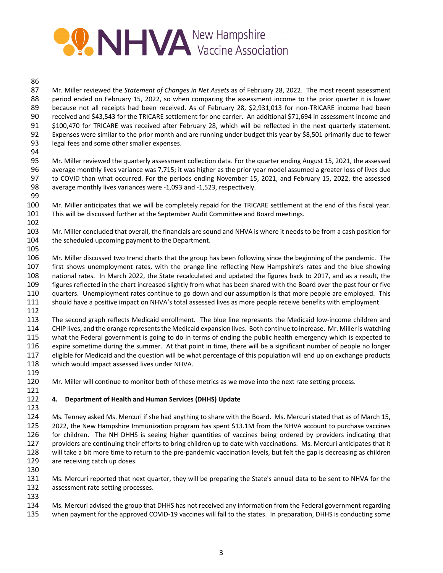# **PONHVA** New Hampshire

#### 

 Mr. Miller reviewed the *Statement of Changes in Net Assets* as of February 28, 2022. The most recent assessment period ended on February 15, 2022, so when comparing the assessment income to the prior quarter it is lower 89 because not all receipts had been received. As of February 28, \$2,931,013 for non-TRICARE income had been received and \$43,543 for the TRICARE settlement for one carrier. An additional \$71,694 in assessment income and \$100,470 for TRICARE was received after February 28, which will be reflected in the next quarterly statement. Expenses were similar to the prior month and are running under budget this year by \$8,501 primarily due to fewer 93 legal fees and some other smaller expenses.

 Mr. Miller reviewed the quarterly assessment collection data. For the quarter ending August 15, 2021, the assessed average monthly lives variance was 7,715; it was higher as the prior year model assumed a greater loss of lives due to COVID than what occurred. For the periods ending November 15, 2021, and February 15, 2022, the assessed 98 average monthly lives variances were -1,093 and -1,523, respectively.

- Mr. Miller anticipates that we will be completely repaid for the TRICARE settlement at the end of this fiscal year. This will be discussed further at the September Audit Committee and Board meetings.
- Mr. Miller concluded that overall, the financials are sound and NHVA is where it needs to be from a cash position for the scheduled upcoming payment to the Department.
- 

 Mr. Miller discussed two trend charts that the group has been following since the beginning of the pandemic. The first shows unemployment rates, with the orange line reflecting New Hampshire's rates and the blue showing national rates. In March 2022, the State recalculated and updated the figures back to 2017, and as a result, the figures reflected in the chart increased slightly from what has been shared with the Board over the past four or five quarters. Unemployment rates continue to go down and our assumption is that more people are employed. This should have a positive impact on NHVA's total assessed lives as more people receive benefits with employment.

113 The second graph reflects Medicaid enrollment. The blue line represents the Medicaid low-income children and CHIP lives, and the orange representsthe Medicaid expansion lives. Both continue to increase. Mr. Milleris watching what the Federal government is going to do in terms of ending the public health emergency which is expected to expire sometime during the summer. At that point in time, there will be a significant number of people no longer eligible for Medicaid and the question will be what percentage of this population will end up on exchange products which would impact assessed lives under NHVA.

120 Mr. Miller will continue to monitor both of these metrics as we move into the next rate setting process.

#### **4. Department of Health and Human Services (DHHS) Update**

 Ms. Tenney asked Ms. Mercuri if she had anything to share with the Board. Ms. Mercuri stated that as of March 15, 2022, the New Hampshire Immunization program has spent \$13.1M from the NHVA account to purchase vaccines 126 for children. The NH DHHS is seeing higher quantities of vaccines being ordered by providers indicating that providers are continuing their efforts to bring children up to date with vaccinations. Ms. Mercuri anticipates that it 128 will take a bit more time to return to the pre-pandemic vaccination levels, but felt the gap is decreasing as children are receiving catch up doses.

 Ms. Mercuri reported that next quarter, they will be preparing the State's annual data to be sent to NHVA for the assessment rate setting processes.

 Ms. Mercuri advised the group that DHHS has not received any information from the Federal government regarding 135 when payment for the approved COVID-19 vaccines will fall to the states. In preparation, DHHS is conducting some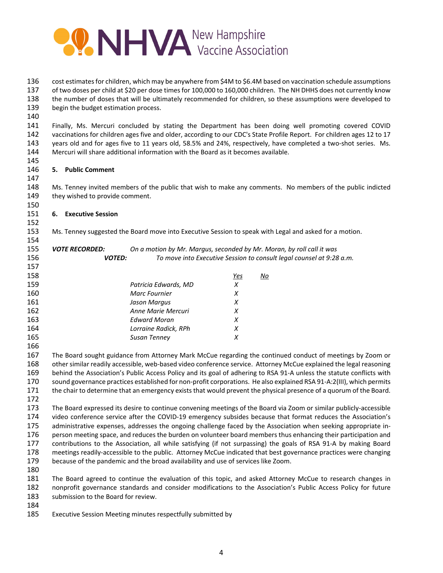

 cost estimatesfor children, which may be anywhere from \$4M to \$6.4M based on vaccination schedule assumptions of two doses per child at \$20 per dose timesfor 100,000 to 160,000 children. The NH DHHS does not currently know the number of doses that will be ultimately recommended for children, so these assumptions were developed to begin the budget estimation process.

 Finally, Ms. Mercuri concluded by stating the Department has been doing well promoting covered COVID vaccinations for children ages five and older, according to our CDC's State Profile Report. For children ages 12 to 17 143 years old and for ages five to 11 years old, 58.5% and 24%, respectively, have completed a two-shot series. Ms. Mercuri will share additional information with the Board as it becomes available.

# **5. Public Comment**

 Ms. Tenney invited members of the public that wish to make any comments. No members of the public indicted 149 they wished to provide comment.

## **6. Executive Session**

Ms. Tenney suggested the Board move into Executive Session to speak with Legal and asked for a motion.

 *VOTE RECORDED: On a motion by Mr. Margus, seconded by Mr. Moran, by roll call it was VOTED: To move into Executive Session to consult legal counsel at 9:28 a.m.*

| 159<br>Patricia Edwards, MD<br>x<br>160<br><b>Marc Fournier</b><br>X<br>161<br>Jason Margus<br>х<br>162<br>Anne Marie Mercuri<br>х<br>163<br><b>Edward Moran</b><br>х<br>164<br>Lorraine Radick, RPh<br>х<br>165<br>Susan Tenney<br>х | 158 | Yes | No |
|---------------------------------------------------------------------------------------------------------------------------------------------------------------------------------------------------------------------------------------|-----|-----|----|
|                                                                                                                                                                                                                                       |     |     |    |
|                                                                                                                                                                                                                                       |     |     |    |
|                                                                                                                                                                                                                                       |     |     |    |
|                                                                                                                                                                                                                                       |     |     |    |
|                                                                                                                                                                                                                                       |     |     |    |
|                                                                                                                                                                                                                                       |     |     |    |
|                                                                                                                                                                                                                                       |     |     |    |

 The Board sought guidance from Attorney Mark McCue regarding the continued conduct of meetings by Zoom or 168 other similar readily accessible, web-based video conference service. Attorney McCue explained the legal reasoning 169 behind the Association's Public Access Policy and its goal of adhering to RSA 91-A unless the statute conflicts with 170 sound governance practices established for non-profit corporations. He also explained RSA 91-A:2(III), which permits the chair to determine that an emergency exists that would prevent the physical presence of a quorum of the Board.

 The Board expressed its desire to continue convening meetings of the Board via Zoom or similar publicly‐accessible 174 video conference service after the COVID-19 emergency subsides because that format reduces the Association's 175 administrative expenses, addresses the ongoing challenge faced by the Association when seeking appropriate in-176 person meeting space, and reduces the burden on volunteer board members thus enhancing their participation and contributions to the Association, all while satisfying (if not surpassing) the goals of RSA 91‐A by making Board 178 meetings readily-accessible to the public. Attorney McCue indicated that best governance practices were changing because of the pandemic and the broad availability and use of services like Zoom.

 The Board agreed to continue the evaluation of this topic, and asked Attorney McCue to research changes in nonprofit governance standards and consider modifications to the Association's Public Access Policy for future submission to the Board for review.

- 
- Executive Session Meeting minutes respectfully submitted by